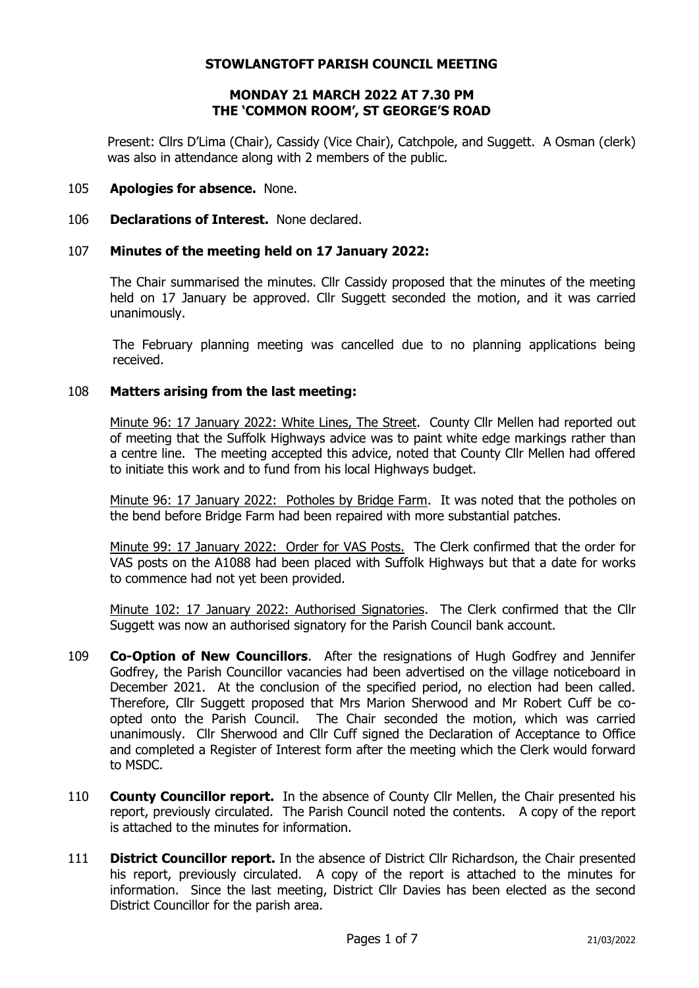#### **STOWLANGTOFT PARISH COUNCIL MEETING**

## **MONDAY 21 MARCH 2022 AT 7.30 PM THE 'COMMON ROOM', ST GEORGE'S ROAD**

Present: Cllrs D'Lima (Chair), Cassidy (Vice Chair), Catchpole, and Suggett. A Osman (clerk) was also in attendance along with 2 members of the public.

#### 105 **Apologies for absence.** None.

106 **Declarations of Interest.** None declared.

#### 107 **Minutes of the meeting held on 17 January 2022:**

The Chair summarised the minutes. Cllr Cassidy proposed that the minutes of the meeting held on 17 January be approved. Cllr Suggett seconded the motion, and it was carried unanimously.

The February planning meeting was cancelled due to no planning applications being received.

## 108 **Matters arising from the last meeting:**

Minute 96: 17 January 2022: White Lines, The Street. County Cllr Mellen had reported out of meeting that the Suffolk Highways advice was to paint white edge markings rather than a centre line. The meeting accepted this advice, noted that County Cllr Mellen had offered to initiate this work and to fund from his local Highways budget.

Minute 96: 17 January 2022: Potholes by Bridge Farm. It was noted that the potholes on the bend before Bridge Farm had been repaired with more substantial patches.

Minute 99: 17 January 2022: Order for VAS Posts. The Clerk confirmed that the order for VAS posts on the A1088 had been placed with Suffolk Highways but that a date for works to commence had not yet been provided.

Minute 102: 17 January 2022: Authorised Signatories. The Clerk confirmed that the Cllr Suggett was now an authorised signatory for the Parish Council bank account.

- 109 **Co-Option of New Councillors**. After the resignations of Hugh Godfrey and Jennifer Godfrey, the Parish Councillor vacancies had been advertised on the village noticeboard in December 2021. At the conclusion of the specified period, no election had been called. Therefore, Cllr Suggett proposed that Mrs Marion Sherwood and Mr Robert Cuff be coopted onto the Parish Council. The Chair seconded the motion, which was carried unanimously. Cllr Sherwood and Cllr Cuff signed the Declaration of Acceptance to Office and completed a Register of Interest form after the meeting which the Clerk would forward to MSDC.
- 110 **County Councillor report.** In the absence of County Cllr Mellen, the Chair presented his report, previously circulated. The Parish Council noted the contents. A copy of the report is attached to the minutes for information.
- 111 **District Councillor report.** In the absence of District Cllr Richardson, the Chair presented his report, previously circulated. A copy of the report is attached to the minutes for information. Since the last meeting, District Cllr Davies has been elected as the second District Councillor for the parish area.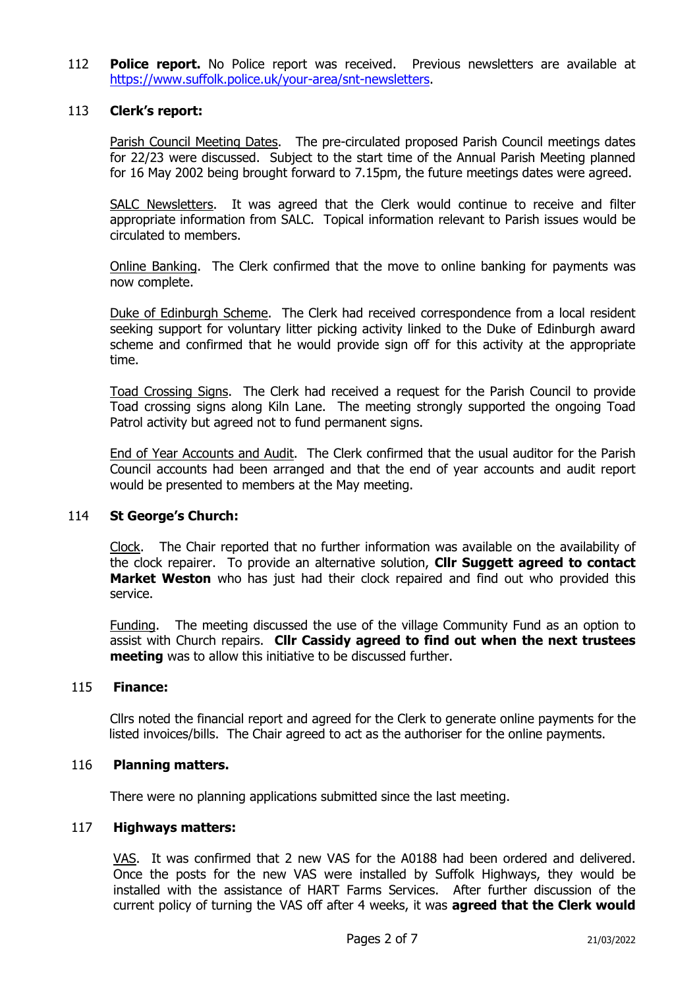112 **Police report.** No Police report was received. Previous newsletters are available at [https://www.suffolk.police.uk/your-area/snt-newsletters.](about:blank)

#### 113 **Clerk's report:**

Parish Council Meeting Dates.The pre-circulated proposed Parish Council meetings dates for 22/23 were discussed. Subject to the start time of the Annual Parish Meeting planned for 16 May 2002 being brought forward to 7.15pm, the future meetings dates were agreed.

SALC Newsletters. It was agreed that the Clerk would continue to receive and filter appropriate information from SALC. Topical information relevant to Parish issues would be circulated to members.

Online Banking. The Clerk confirmed that the move to online banking for payments was now complete.

Duke of Edinburgh Scheme. The Clerk had received correspondence from a local resident seeking support for voluntary litter picking activity linked to the Duke of Edinburgh award scheme and confirmed that he would provide sign off for this activity at the appropriate time.

Toad Crossing Signs. The Clerk had received a request for the Parish Council to provide Toad crossing signs along Kiln Lane. The meeting strongly supported the ongoing Toad Patrol activity but agreed not to fund permanent signs.

End of Year Accounts and Audit. The Clerk confirmed that the usual auditor for the Parish Council accounts had been arranged and that the end of year accounts and audit report would be presented to members at the May meeting.

#### 114 **St George's Church:**

Clock. The Chair reported that no further information was available on the availability of the clock repairer. To provide an alternative solution, **Cllr Suggett agreed to contact Market Weston** who has just had their clock repaired and find out who provided this service.

Funding. The meeting discussed the use of the village Community Fund as an option to assist with Church repairs. **Cllr Cassidy agreed to find out when the next trustees meeting** was to allow this initiative to be discussed further.

#### 115 **Finance:**

Cllrs noted the financial report and agreed for the Clerk to generate online payments for the listed invoices/bills. The Chair agreed to act as the authoriser for the online payments.

#### 116 **Planning matters.**

There were no planning applications submitted since the last meeting.

#### 117 **Highways matters:**

VAS. It was confirmed that 2 new VAS for the A0188 had been ordered and delivered. Once the posts for the new VAS were installed by Suffolk Highways, they would be installed with the assistance of HART Farms Services. After further discussion of the current policy of turning the VAS off after 4 weeks, it was **agreed that the Clerk would**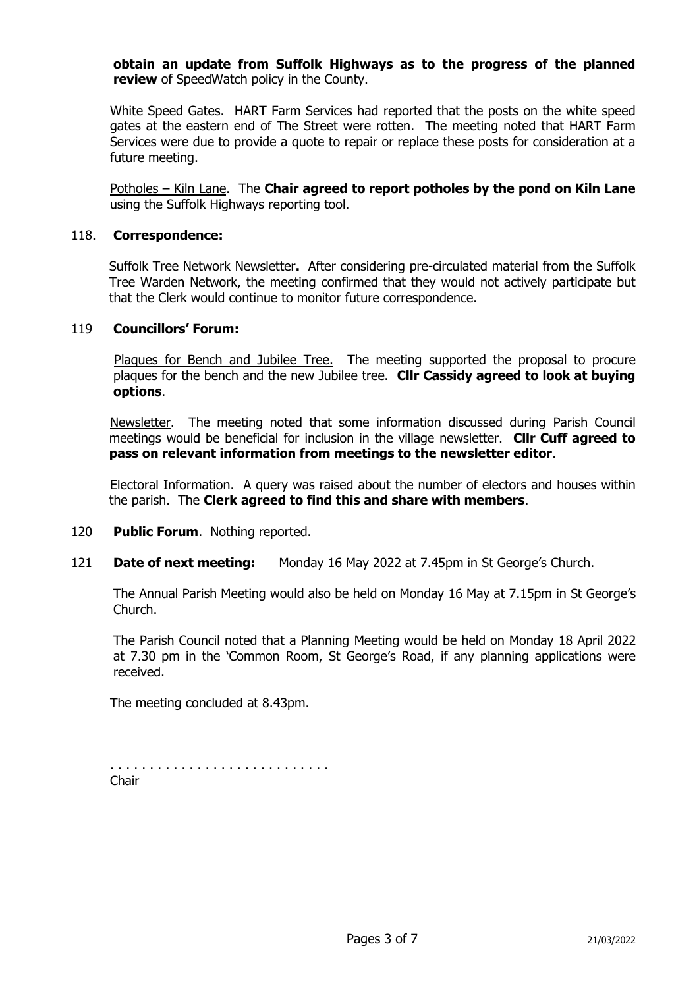**obtain an update from Suffolk Highways as to the progress of the planned review** of SpeedWatch policy in the County.

White Speed Gates. HART Farm Services had reported that the posts on the white speed gates at the eastern end of The Street were rotten. The meeting noted that HART Farm Services were due to provide a quote to repair or replace these posts for consideration at a future meeting.

Potholes – Kiln Lane. The **Chair agreed to report potholes by the pond on Kiln Lane** using the Suffolk Highways reporting tool.

#### 118. **Correspondence:**

Suffolk Tree Network Newsletter**.** After considering pre-circulated material from the Suffolk Tree Warden Network, the meeting confirmed that they would not actively participate but that the Clerk would continue to monitor future correspondence.

## 119 **Councillors' Forum:**

Plaques for Bench and Jubilee Tree. The meeting supported the proposal to procure plaques for the bench and the new Jubilee tree. **Cllr Cassidy agreed to look at buying options**.

Newsletter. The meeting noted that some information discussed during Parish Council meetings would be beneficial for inclusion in the village newsletter. **Cllr Cuff agreed to pass on relevant information from meetings to the newsletter editor**.

Electoral Information. A query was raised about the number of electors and houses within the parish. The **Clerk agreed to find this and share with members**.

- 120 **Public Forum**. Nothing reported.
- 121 **Date of next meeting:** Monday 16 May 2022 at 7.45pm in St George's Church.

The Annual Parish Meeting would also be held on Monday 16 May at 7.15pm in St George's Church.

The Parish Council noted that a Planning Meeting would be held on Monday 18 April 2022 at 7.30 pm in the 'Common Room, St George's Road, if any planning applications were received.

The meeting concluded at 8.43pm.

| Chair |  |  |  |  |  |  |  |  |  |  |  |  |  |
|-------|--|--|--|--|--|--|--|--|--|--|--|--|--|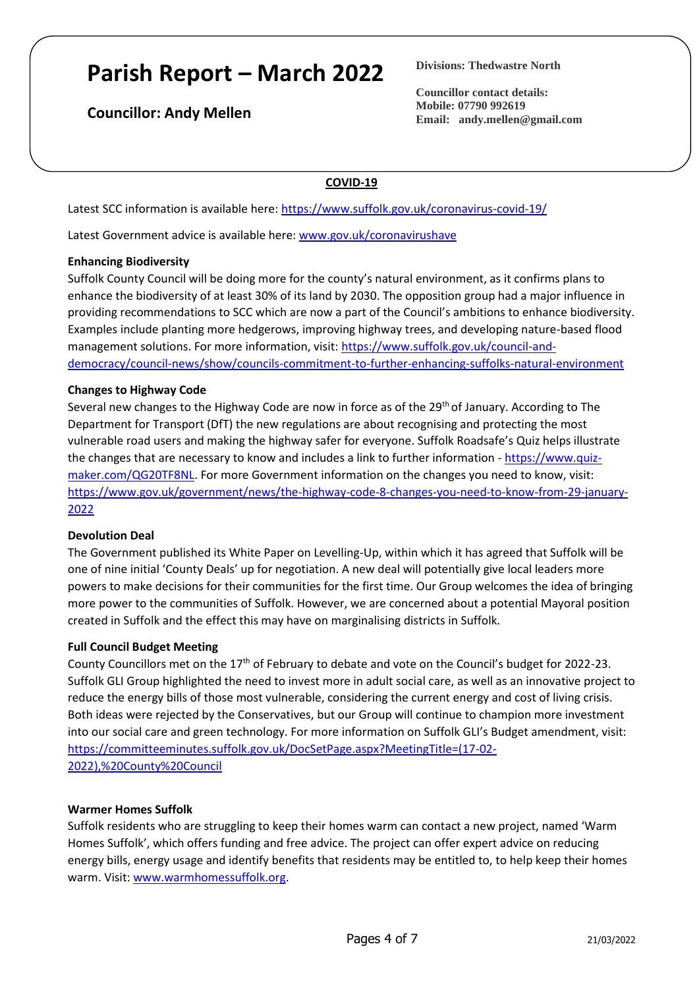# **Parish Report – March 2022**

# **Councillor: Andy Mellen**

**Divisions: Thedwastre North**

**Councillor contact details: Mobile: 07790 992619 Email: andy.mellen@gmail.com**

## **COVID-19**

Latest SCC information is available here[: https://www.suffolk.gov.uk/coronavirus-covid-19/](https://www.suffolk.gov.uk/coronavirus-covid-19/)

Latest Government advice is available here: [www.gov.uk/coronavirush](http://www.gov.uk/coronavirus)ave

#### **Enhancing Biodiversity**

Suffolk County Council will be doing more for the county's natural environment, as it confirms plans to enhance the biodiversity of at least 30% of its land by 2030. The opposition group had a major influence in providing recommendations to SCC which are now a part of the Council's ambitions to enhance biodiversity. Examples include planting more hedgerows, improving highway trees, and developing nature-based flood management solutions. For more information, visit: [https://www.suffolk.gov.uk/council-and](https://www.suffolk.gov.uk/council-and-democracy/council-news/show/councils-commitment-to-further-enhancing-suffolks-natural-environment)[democracy/council-news/show/councils-commitment-to-further-enhancing-suffolks-natural-environment](https://www.suffolk.gov.uk/council-and-democracy/council-news/show/councils-commitment-to-further-enhancing-suffolks-natural-environment)

#### **Changes to Highway Code**

Several new changes to the Highway Code are now in force as of the 29<sup>th</sup> of January. According to The Department for Transport (DfT) the new regulations are about recognising and protecting the most vulnerable road users and making the highway safer for everyone. Suffolk Roadsafe's Quiz helps illustrate the changes that are necessary to know and includes a link to further information - [https://www.quiz](https://www.quiz-maker.com/QG20TF8NL)[maker.com/QG20TF8NL.](https://www.quiz-maker.com/QG20TF8NL) For more Government information on the changes you need to know, visit: [https://www.gov.uk/government/news/the-highway-code-8-changes-you-need-to-know-from-29-january-](https://www.gov.uk/government/news/the-highway-code-8-changes-you-need-to-know-from-29-january-2022)[2022](https://www.gov.uk/government/news/the-highway-code-8-changes-you-need-to-know-from-29-january-2022)

#### **Devolution Deal**

The Government published its White Paper on Levelling-Up, within which it has agreed that Suffolk will be one of nine initial 'County Deals' up for negotiation. A new deal will potentially give local leaders more powers to make decisions for their communities for the first time. Our Group welcomes the idea of bringing more power to the communities of Suffolk. However, we are concerned about a potential Mayoral position created in Suffolk and the effect this may have on marginalising districts in Suffolk.

#### **Full Council Budget Meeting**

County Councillors met on the 17<sup>th</sup> of February to debate and vote on the Council's budget for 2022-23. Suffolk GLI Group highlighted the need to invest more in adult social care, as well as an innovative project to reduce the energy bills of those most vulnerable, considering the current energy and cost of living crisis. Both ideas were rejected by the Conservatives, but our Group will continue to champion more investment into our social care and green technology. For more information on Suffolk GLI's Budget amendment, visit: [https://committeeminutes.suffolk.gov.uk/DocSetPage.aspx?MeetingTitle=\(17-02-](https://committeeminutes.suffolk.gov.uk/DocSetPage.aspx?MeetingTitle=(17-02-2022),%20County%20Council) [2022\),%20County%20Council](https://committeeminutes.suffolk.gov.uk/DocSetPage.aspx?MeetingTitle=(17-02-2022),%20County%20Council)

#### **Warmer Homes Suffolk**

Suffolk residents who are struggling to keep their homes warm can contact a new project, named 'Warm Homes Suffolk', which offers funding and free advice. The project can offer expert advice on reducing energy bills, energy usage and identify benefits that residents may be entitled to, to help keep their homes warm. Visit[: www.warmhomessuffolk.org.](http://www.warmhomessuffolk.org/)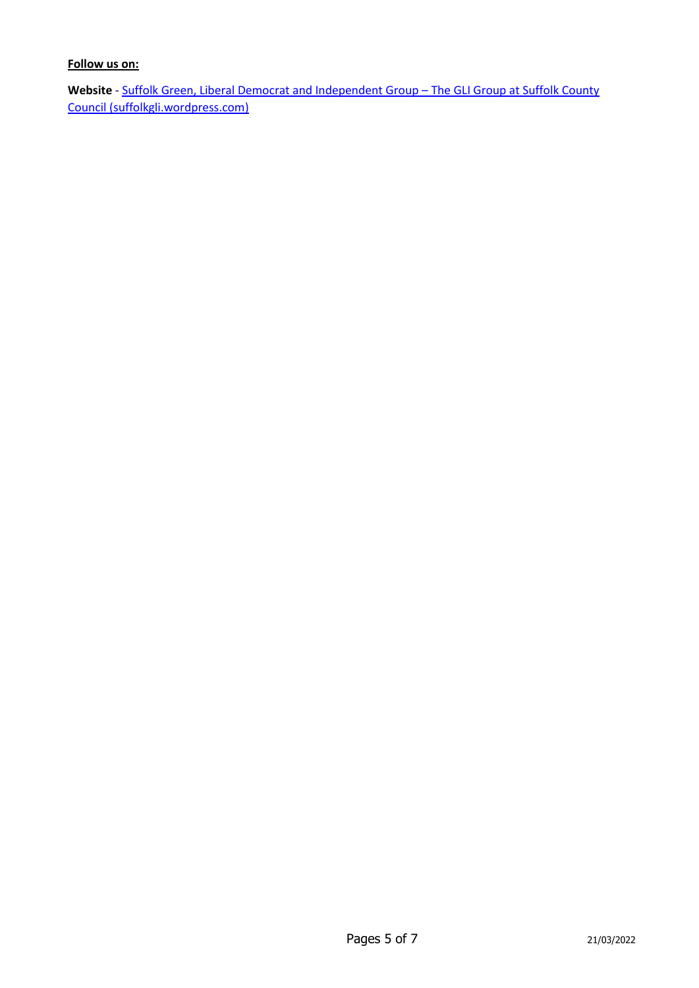#### **Follow us on:**

Website - [Suffolk Green, Liberal Democrat and Independent Group](https://suffolkgli.wordpress.com/) – The GLI Group at Suffolk County [Council \(suffolkgli.wordpress.com\)](https://suffolkgli.wordpress.com/)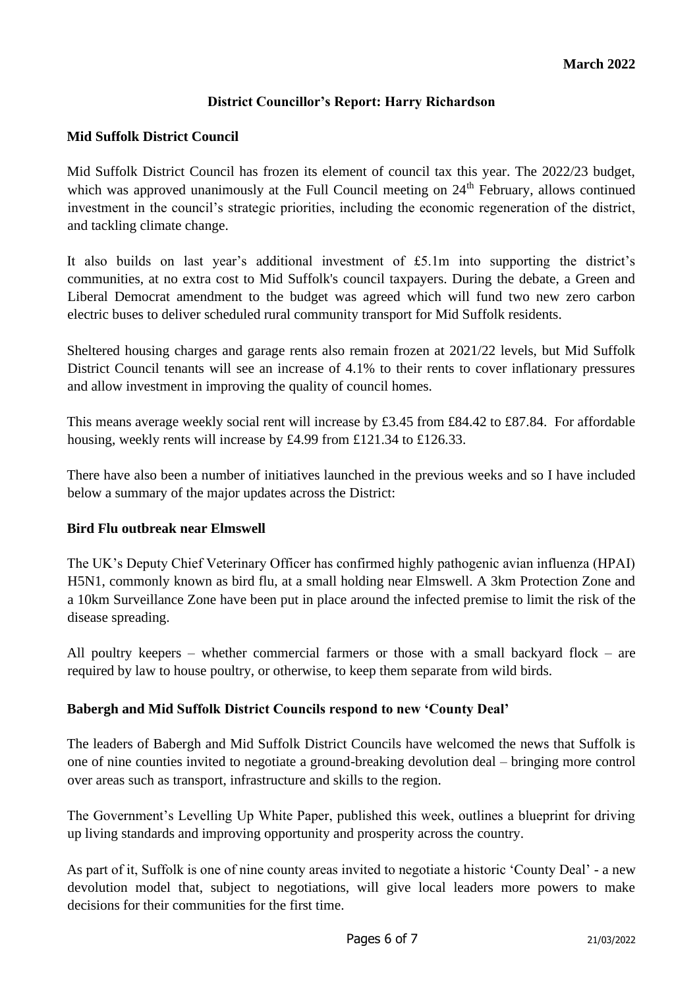# **District Councillor's Report: Harry Richardson**

# **Mid Suffolk District Council**

Mid Suffolk District Council has frozen its element of council tax this year. The 2022/23 budget, which was approved unanimously at the Full Council meeting on 24<sup>th</sup> February, allows continued investment in the council's strategic priorities, including the economic regeneration of the district, and tackling climate change.

It also builds on last year's additional investment of £5.1m into supporting the district's communities, at no extra cost to Mid Suffolk's council taxpayers. During the debate, a Green and Liberal Democrat amendment to the budget was agreed which will fund two new zero carbon electric buses to deliver scheduled rural community transport for Mid Suffolk residents.

Sheltered housing charges and garage rents also remain frozen at 2021/22 levels, but Mid Suffolk District Council tenants will see an increase of 4.1% to their rents to cover inflationary pressures and allow investment in improving the quality of council homes.

This means average weekly social rent will increase by £3.45 from £84.42 to £87.84. For affordable housing, weekly rents will increase by £4.99 from £121.34 to £126.33.

There have also been a number of initiatives launched in the previous weeks and so I have included below a summary of the major updates across the District:

# **Bird Flu outbreak near Elmswell**

The UK's Deputy Chief Veterinary Officer has confirmed highly pathogenic avian influenza (HPAI) H5N1, commonly known as bird flu, at a small holding near Elmswell. A 3km Protection Zone and a 10km Surveillance Zone have been put in place around the infected premise to limit the risk of the disease spreading.

All poultry keepers – whether commercial farmers or those with a small backyard flock – are required by law to house poultry, or otherwise, to keep them separate from wild birds.

# **Babergh and Mid Suffolk District Councils respond to new 'County Deal'**

The leaders of Babergh and Mid Suffolk District Councils have welcomed the news that Suffolk is one of nine counties invited to negotiate a ground-breaking devolution deal – bringing more control over areas such as transport, infrastructure and skills to the region.

The Government's Levelling Up White Paper, published this week, outlines a blueprint for driving up living standards and improving opportunity and prosperity across the country.

As part of it, Suffolk is one of nine county areas invited to negotiate a historic 'County Deal' - a new devolution model that, subject to negotiations, will give local leaders more powers to make decisions for their communities for the first time.